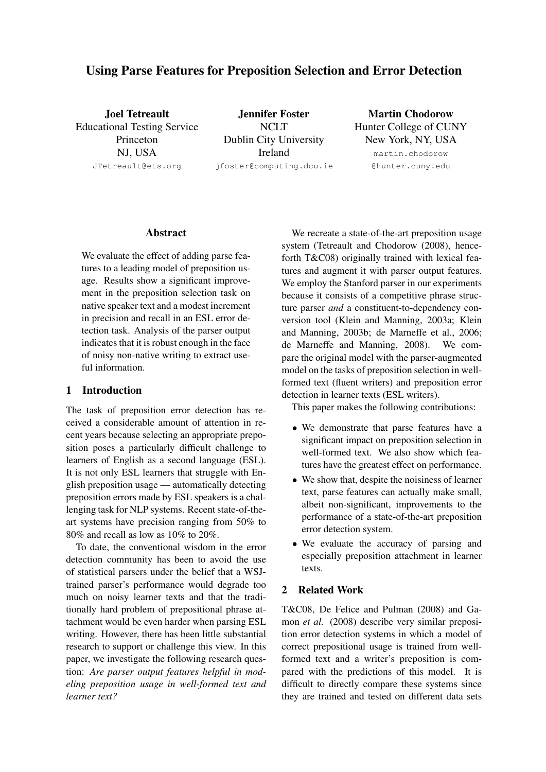# Using Parse Features for Preposition Selection and Error Detection

Joel Tetreault Educational Testing Service Princeton NJ, USA JTetreault@ets.org

Jennifer Foster **NCLT** Dublin City University Ireland jfoster@computing.dcu.ie

Martin Chodorow Hunter College of CUNY New York, NY, USA

> martin.chodorow @hunter.cuny.edu

#### Abstract

We evaluate the effect of adding parse features to a leading model of preposition usage. Results show a significant improvement in the preposition selection task on native speaker text and a modest increment in precision and recall in an ESL error detection task. Analysis of the parser output indicates that it is robust enough in the face of noisy non-native writing to extract useful information.

## 1 Introduction

The task of preposition error detection has received a considerable amount of attention in recent years because selecting an appropriate preposition poses a particularly difficult challenge to learners of English as a second language (ESL). It is not only ESL learners that struggle with English preposition usage — automatically detecting preposition errors made by ESL speakers is a challenging task for NLP systems. Recent state-of-theart systems have precision ranging from 50% to 80% and recall as low as 10% to 20%.

To date, the conventional wisdom in the error detection community has been to avoid the use of statistical parsers under the belief that a WSJtrained parser's performance would degrade too much on noisy learner texts and that the traditionally hard problem of prepositional phrase attachment would be even harder when parsing ESL writing. However, there has been little substantial research to support or challenge this view. In this paper, we investigate the following research question: *Are parser output features helpful in modeling preposition usage in well-formed text and learner text?*

We recreate a state-of-the-art preposition usage system (Tetreault and Chodorow (2008), henceforth T&C08) originally trained with lexical features and augment it with parser output features. We employ the Stanford parser in our experiments because it consists of a competitive phrase structure parser *and* a constituent-to-dependency conversion tool (Klein and Manning, 2003a; Klein and Manning, 2003b; de Marneffe et al., 2006; de Marneffe and Manning, 2008). We compare the original model with the parser-augmented model on the tasks of preposition selection in wellformed text (fluent writers) and preposition error detection in learner texts (ESL writers).

This paper makes the following contributions:

- We demonstrate that parse features have a significant impact on preposition selection in well-formed text. We also show which features have the greatest effect on performance.
- We show that, despite the noisiness of learner text, parse features can actually make small, albeit non-significant, improvements to the performance of a state-of-the-art preposition error detection system.
- We evaluate the accuracy of parsing and especially preposition attachment in learner texts.

## 2 Related Work

T&C08, De Felice and Pulman (2008) and Gamon *et al.* (2008) describe very similar preposition error detection systems in which a model of correct prepositional usage is trained from wellformed text and a writer's preposition is compared with the predictions of this model. It is difficult to directly compare these systems since they are trained and tested on different data sets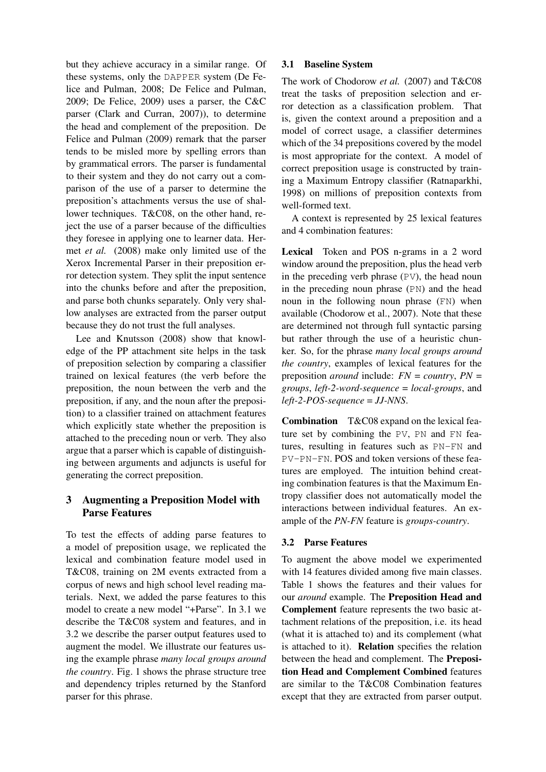but they achieve accuracy in a similar range. Of these systems, only the DAPPER system (De Felice and Pulman, 2008; De Felice and Pulman, 2009; De Felice, 2009) uses a parser, the C&C parser (Clark and Curran, 2007)), to determine the head and complement of the preposition. De Felice and Pulman (2009) remark that the parser tends to be misled more by spelling errors than by grammatical errors. The parser is fundamental to their system and they do not carry out a comparison of the use of a parser to determine the preposition's attachments versus the use of shallower techniques. T&C08, on the other hand, reject the use of a parser because of the difficulties they foresee in applying one to learner data. Hermet *et al.* (2008) make only limited use of the Xerox Incremental Parser in their preposition error detection system. They split the input sentence into the chunks before and after the preposition, and parse both chunks separately. Only very shallow analyses are extracted from the parser output because they do not trust the full analyses.

Lee and Knutsson (2008) show that knowledge of the PP attachment site helps in the task of preposition selection by comparing a classifier trained on lexical features (the verb before the preposition, the noun between the verb and the preposition, if any, and the noun after the preposition) to a classifier trained on attachment features which explicitly state whether the preposition is attached to the preceding noun or verb. They also argue that a parser which is capable of distinguishing between arguments and adjuncts is useful for generating the correct preposition.

## 3 Augmenting a Preposition Model with Parse Features

To test the effects of adding parse features to a model of preposition usage, we replicated the lexical and combination feature model used in T&C08, training on 2M events extracted from a corpus of news and high school level reading materials. Next, we added the parse features to this model to create a new model "+Parse". In 3.1 we describe the T&C08 system and features, and in 3.2 we describe the parser output features used to augment the model. We illustrate our features using the example phrase *many local groups around the country*. Fig. 1 shows the phrase structure tree and dependency triples returned by the Stanford parser for this phrase.

#### 3.1 Baseline System

The work of Chodorow *et al.* (2007) and T&C08 treat the tasks of preposition selection and error detection as a classification problem. That is, given the context around a preposition and a model of correct usage, a classifier determines which of the 34 prepositions covered by the model is most appropriate for the context. A model of correct preposition usage is constructed by training a Maximum Entropy classifier (Ratnaparkhi, 1998) on millions of preposition contexts from well-formed text.

A context is represented by 25 lexical features and 4 combination features:

Lexical Token and POS n-grams in a 2 word window around the preposition, plus the head verb in the preceding verb phrase (PV), the head noun in the preceding noun phrase (PN) and the head noun in the following noun phrase (FN) when available (Chodorow et al., 2007). Note that these are determined not through full syntactic parsing but rather through the use of a heuristic chunker. So, for the phrase *many local groups around the country*, examples of lexical features for the preposition *around* include: *FN* = *country*, *PN* = *groups*, *left-2-word-sequence* = *local-groups*, and *left-2-POS-sequence* = *JJ-NNS*.

Combination T&C08 expand on the lexical feature set by combining the PV, PN and FN features, resulting in features such as PN-FN and PV-PN-FN. POS and token versions of these features are employed. The intuition behind creating combination features is that the Maximum Entropy classifier does not automatically model the interactions between individual features. An example of the *PN-FN* feature is *groups-country*.

## 3.2 Parse Features

To augment the above model we experimented with 14 features divided among five main classes. Table 1 shows the features and their values for our *around* example. The Preposition Head and Complement feature represents the two basic attachment relations of the preposition, i.e. its head (what it is attached to) and its complement (what is attached to it). Relation specifies the relation between the head and complement. The Preposition Head and Complement Combined features are similar to the T&C08 Combination features except that they are extracted from parser output.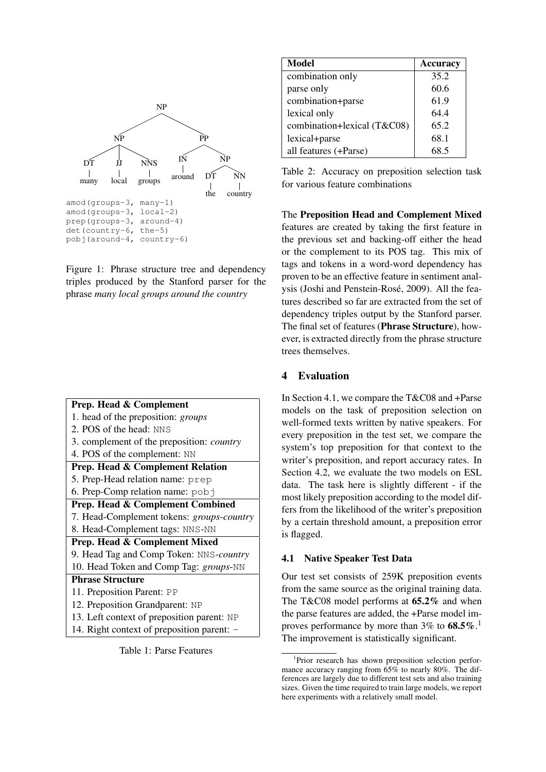

Figure 1: Phrase structure tree and dependency triples produced by the Stanford parser for the phrase *many local groups around the country*

| <b>Prep. Head &amp; Complement</b>               |  |  |  |
|--------------------------------------------------|--|--|--|
| 1. head of the preposition: groups               |  |  |  |
| 2. POS of the head: NNS                          |  |  |  |
| 3. complement of the preposition: <i>country</i> |  |  |  |
| 4. POS of the complement: NN                     |  |  |  |
| <b>Prep. Head &amp; Complement Relation</b>      |  |  |  |
| 5. Prep-Head relation name: prep                 |  |  |  |
| 6. Prep-Comp relation name: pobj                 |  |  |  |
| Prep. Head & Complement Combined                 |  |  |  |
| 7. Head-Complement tokens: groups-country        |  |  |  |
| 8. Head-Complement tags: NNS-NN                  |  |  |  |
| Prep. Head & Complement Mixed                    |  |  |  |
| 9. Head Tag and Comp Token: NNS-country          |  |  |  |
| 10. Head Token and Comp Tag: groups-NN           |  |  |  |
| <b>Phrase Structure</b>                          |  |  |  |
| 11. Preposition Parent: PP                       |  |  |  |
| 12. Preposition Grandparent: NP                  |  |  |  |
| 13. Left context of preposition parent: NP       |  |  |  |
| 14. Right context of preposition parent: -       |  |  |  |



| Model                       | <b>Accuracy</b> |
|-----------------------------|-----------------|
| combination only            | 35.2            |
| parse only                  | 60.6            |
| combination+parse           | 61.9            |
| lexical only                | 64.4            |
| combination+lexical (T&C08) | 65.2            |
| lexical+parse               | 68.1            |
| all features (+Parse)       | 68.5            |

Table 2: Accuracy on preposition selection task for various feature combinations

The Preposition Head and Complement Mixed features are created by taking the first feature in the previous set and backing-off either the head or the complement to its POS tag. This mix of tags and tokens in a word-word dependency has proven to be an effective feature in sentiment analysis (Joshi and Penstein-Rosé, 2009). All the features described so far are extracted from the set of dependency triples output by the Stanford parser. The final set of features (Phrase Structure), however, is extracted directly from the phrase structure trees themselves.

## 4 Evaluation

In Section 4.1, we compare the T&C08 and +Parse models on the task of preposition selection on well-formed texts written by native speakers. For every preposition in the test set, we compare the system's top preposition for that context to the writer's preposition, and report accuracy rates. In Section 4.2, we evaluate the two models on ESL data. The task here is slightly different - if the most likely preposition according to the model differs from the likelihood of the writer's preposition by a certain threshold amount, a preposition error is flagged.

#### 4.1 Native Speaker Test Data

Our test set consists of 259K preposition events from the same source as the original training data. The T&C08 model performs at 65.2% and when the parse features are added, the +Parse model improves performance by more than  $3\%$  to  $68.5\%$ .<sup>1</sup> The improvement is statistically significant.

<sup>&</sup>lt;sup>1</sup>Prior research has shown preposition selection performance accuracy ranging from  $65\%$  to nearly 80%. The differences are largely due to different test sets and also training sizes. Given the time required to train large models, we report here experiments with a relatively small model.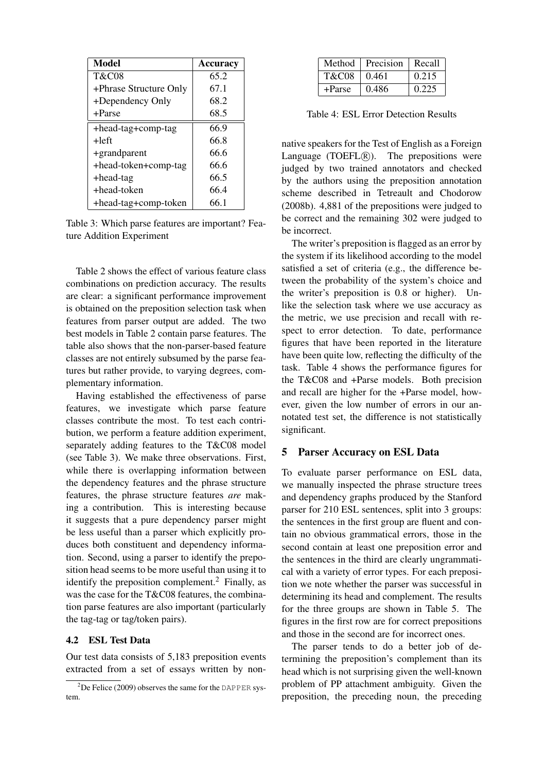| <b>Model</b>           | Accuracy |
|------------------------|----------|
| <b>T&amp;C08</b>       | 65.2     |
| +Phrase Structure Only | 67.1     |
| +Dependency Only       | 68.2     |
| +Parse                 | 68.5     |
| +head-tag+comp-tag     | 66.9     |
| +left                  | 66.8     |
| +grandparent           | 66.6     |
| +head-token+comp-tag   | 66.6     |
| +head-tag              | 66.5     |
| $+$ head-token         | 66.4     |
| +head-tag+comp-token   | 66.1     |

Table 3: Which parse features are important? Feature Addition Experiment

Table 2 shows the effect of various feature class combinations on prediction accuracy. The results are clear: a significant performance improvement is obtained on the preposition selection task when features from parser output are added. The two best models in Table 2 contain parse features. The table also shows that the non-parser-based feature classes are not entirely subsumed by the parse features but rather provide, to varying degrees, complementary information.

Having established the effectiveness of parse features, we investigate which parse feature classes contribute the most. To test each contribution, we perform a feature addition experiment, separately adding features to the T&C08 model (see Table 3). We make three observations. First, while there is overlapping information between the dependency features and the phrase structure features, the phrase structure features *are* making a contribution. This is interesting because it suggests that a pure dependency parser might be less useful than a parser which explicitly produces both constituent and dependency information. Second, using a parser to identify the preposition head seems to be more useful than using it to identify the preposition complement.<sup>2</sup> Finally, as was the case for the T&C08 features, the combination parse features are also important (particularly the tag-tag or tag/token pairs).

#### 4.2 ESL Test Data

Our test data consists of 5,183 preposition events extracted from a set of essays written by non-

| Method           | Precision | Recall |
|------------------|-----------|--------|
| <b>T&amp;C08</b> | 0.461     | 0.215  |
| +Parse           | 0.486     | 0.225  |

Table 4: ESL Error Detection Results

native speakers for the Test of English as a Foreign Language (TOEFL $(R)$ ). The prepositions were judged by two trained annotators and checked by the authors using the preposition annotation scheme described in Tetreault and Chodorow (2008b). 4,881 of the prepositions were judged to be correct and the remaining 302 were judged to be incorrect.

The writer's preposition is flagged as an error by the system if its likelihood according to the model satisfied a set of criteria (e.g., the difference between the probability of the system's choice and the writer's preposition is 0.8 or higher). Unlike the selection task where we use accuracy as the metric, we use precision and recall with respect to error detection. To date, performance figures that have been reported in the literature have been quite low, reflecting the difficulty of the task. Table 4 shows the performance figures for the T&C08 and +Parse models. Both precision and recall are higher for the +Parse model, however, given the low number of errors in our annotated test set, the difference is not statistically significant.

#### 5 Parser Accuracy on ESL Data

To evaluate parser performance on ESL data, we manually inspected the phrase structure trees and dependency graphs produced by the Stanford parser for 210 ESL sentences, split into 3 groups: the sentences in the first group are fluent and contain no obvious grammatical errors, those in the second contain at least one preposition error and the sentences in the third are clearly ungrammatical with a variety of error types. For each preposition we note whether the parser was successful in determining its head and complement. The results for the three groups are shown in Table 5. The figures in the first row are for correct prepositions and those in the second are for incorrect ones.

The parser tends to do a better job of determining the preposition's complement than its head which is not surprising given the well-known problem of PP attachment ambiguity. Given the preposition, the preceding noun, the preceding

 $^{2}$ De Felice (2009) observes the same for the DAPPER system.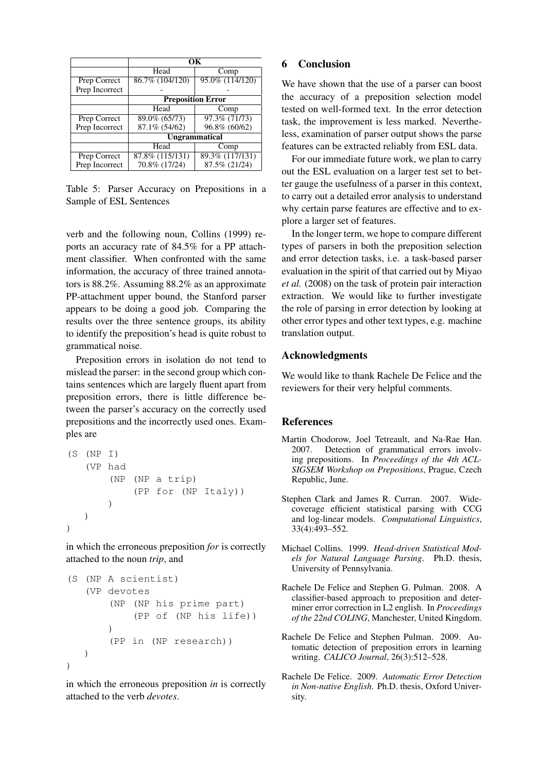|                | OК                       |                  |  |
|----------------|--------------------------|------------------|--|
|                | Head                     | Comp             |  |
| Prep Correct   | 86.7% (104/120)          | 95.0% (114/120)  |  |
| Prep Incorrect |                          |                  |  |
|                | <b>Preposition Error</b> |                  |  |
|                | Head                     | Comp             |  |
| Prep Correct   | 89.0% (65/73)            | $97.3\%$ (71/73) |  |
| Prep Incorrect | 87.1% (54/62)            | 96.8% (60/62)    |  |
|                | <b>Ungrammatical</b>     |                  |  |
|                | Head                     | Comp             |  |
| Prep Correct   | 87.8% (115/131)          | 89.3% (117/131)  |  |
| Prep Incorrect | 70.8% (17/24)            | 87.5% (21/24)    |  |

Table 5: Parser Accuracy on Prepositions in a Sample of ESL Sentences

verb and the following noun, Collins (1999) reports an accuracy rate of 84.5% for a PP attachment classifier. When confronted with the same information, the accuracy of three trained annotators is 88.2%. Assuming 88.2% as an approximate PP-attachment upper bound, the Stanford parser appears to be doing a good job. Comparing the results over the three sentence groups, its ability to identify the preposition's head is quite robust to grammatical noise.

Preposition errors in isolation do not tend to mislead the parser: in the second group which contains sentences which are largely fluent apart from preposition errors, there is little difference between the parser's accuracy on the correctly used prepositions and the incorrectly used ones. Examples are

```
(S (NP I)
    (VP had
         (NP (NP a trip)
              (PP for (NP Italy))
        )
   )
\lambda
```
in which the erroneous preposition *for* is correctly attached to the noun *trip*, and

```
(S (NP A scientist)
   (VP devotes
       (NP (NP his prime part)
            (PP of (NP his life))
       )
       (PP in (NP research))
   )
)
```
in which the erroneous preposition *in* is correctly attached to the verb *devotes*.

## 6 Conclusion

We have shown that the use of a parser can boost the accuracy of a preposition selection model tested on well-formed text. In the error detection task, the improvement is less marked. Nevertheless, examination of parser output shows the parse features can be extracted reliably from ESL data.

For our immediate future work, we plan to carry out the ESL evaluation on a larger test set to better gauge the usefulness of a parser in this context, to carry out a detailed error analysis to understand why certain parse features are effective and to explore a larger set of features.

In the longer term, we hope to compare different types of parsers in both the preposition selection and error detection tasks, i.e. a task-based parser evaluation in the spirit of that carried out by Miyao *et al.* (2008) on the task of protein pair interaction extraction. We would like to further investigate the role of parsing in error detection by looking at other error types and other text types, e.g. machine translation output.

## Acknowledgments

We would like to thank Rachele De Felice and the reviewers for their very helpful comments.

#### **References**

- Martin Chodorow, Joel Tetreault, and Na-Rae Han. 2007. Detection of grammatical errors involving prepositions. In *Proceedings of the 4th ACL-SIGSEM Workshop on Prepositions*, Prague, Czech Republic, June.
- Stephen Clark and James R. Curran. 2007. Widecoverage efficient statistical parsing with CCG and log-linear models. *Computational Linguistics*, 33(4):493–552.
- Michael Collins. 1999. *Head-driven Statistical Models for Natural Language Parsing*. Ph.D. thesis, University of Pennsylvania.
- Rachele De Felice and Stephen G. Pulman. 2008. A classifier-based approach to preposition and determiner error correction in L2 english. In *Proceedings of the 22nd COLING*, Manchester, United Kingdom.
- Rachele De Felice and Stephen Pulman. 2009. Automatic detection of preposition errors in learning writing. *CALICO Journal*, 26(3):512–528.
- Rachele De Felice. 2009. *Automatic Error Detection in Non-native English*. Ph.D. thesis, Oxford University.